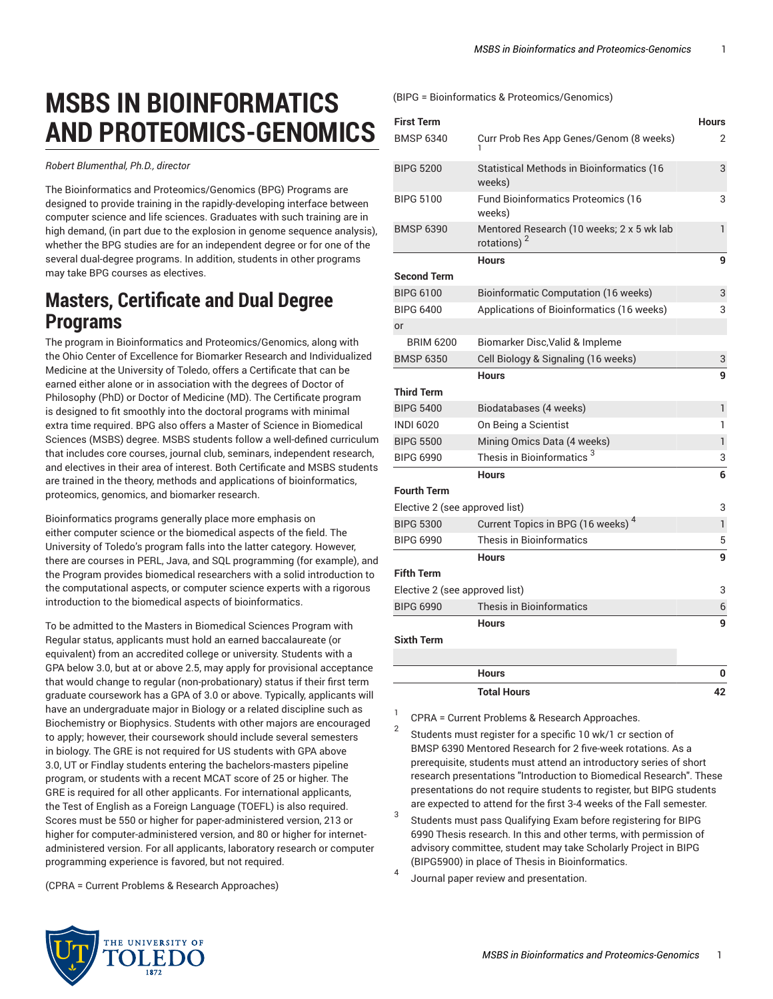## **MSBS IN BIOINFORMATICS AND PROTEOMICS-GENOMICS**

*Robert Blumenthal, Ph.D., director*

The Bioinformatics and Proteomics/Genomics (BPG) Programs are designed to provide training in the rapidly-developing interface between computer science and life sciences. Graduates with such training are in high demand, (in part due to the explosion in genome sequence analysis), whether the BPG studies are for an independent degree or for one of the several dual-degree programs. In addition, students in other programs may take BPG courses as electives.

## **Masters, Certificate and Dual Degree Programs**

The program in Bioinformatics and Proteomics/Genomics, along with the Ohio Center of Excellence for Biomarker Research and Individualized Medicine at the University of Toledo, offers a Certificate that can be earned either alone or in association with the degrees of Doctor of Philosophy (PhD) or Doctor of Medicine (MD). The Certificate program is designed to fit smoothly into the doctoral programs with minimal extra time required. BPG also offers a Master of Science in Biomedical Sciences (MSBS) degree. MSBS students follow a well-defined curriculum that includes core courses, journal club, seminars, independent research, and electives in their area of interest. Both Certificate and MSBS students are trained in the theory, methods and applications of bioinformatics, proteomics, genomics, and biomarker research.

Bioinformatics programs generally place more emphasis on either computer science or the biomedical aspects of the field. The University of Toledo's program falls into the latter category. However, there are courses in PERL, Java, and SQL programming (for example), and the Program provides biomedical researchers with a solid introduction to the computational aspects, or computer science experts with a rigorous introduction to the biomedical aspects of bioinformatics.

To be admitted to the Masters in Biomedical Sciences Program with Regular status, applicants must hold an earned baccalaureate (or equivalent) from an accredited college or university. Students with a GPA below 3.0, but at or above 2.5, may apply for provisional acceptance that would change to regular (non-probationary) status if their first term graduate coursework has a GPA of 3.0 or above. Typically, applicants will have an undergraduate major in Biology or a related discipline such as Biochemistry or Biophysics. Students with other majors are encouraged to apply; however, their coursework should include several semesters in biology. The GRE is not required for US students with GPA above 3.0, UT or Findlay students entering the bachelors-masters pipeline program, or students with a recent MCAT score of 25 or higher. The GRE is required for all other applicants. For international applicants, the Test of English as a Foreign Language (TOEFL) is also required. Scores must be 550 or higher for paper-administered version, 213 or higher for computer-administered version, and 80 or higher for internetadministered version. For all applicants, laboratory research or computer programming experience is favored, but not required.

(CPRA = Current Problems & Research Approaches)

(BIPG = Bioinformatics & Proteomics/Genomics)

| <b>First Term</b>              |                                                                      | <b>Hours</b> |
|--------------------------------|----------------------------------------------------------------------|--------------|
| <b>BMSP 6340</b>               | Curr Prob Res App Genes/Genom (8 weeks)                              | 2            |
| <b>BIPG 5200</b>               | Statistical Methods in Bioinformatics (16<br>weeks)                  | 3            |
| <b>BIPG 5100</b>               | Fund Bioinformatics Proteomics (16<br>weeks)                         | 3            |
| <b>BMSP 6390</b>               | Mentored Research (10 weeks; 2 x 5 wk lab<br>rotations) <sup>2</sup> | $\mathbf{1}$ |
|                                | <b>Hours</b>                                                         | 9            |
| <b>Second Term</b>             |                                                                      |              |
| <b>BIPG 6100</b>               | Bioinformatic Computation (16 weeks)                                 | 3            |
| <b>BIPG 6400</b>               | Applications of Bioinformatics (16 weeks)                            | 3            |
| or                             |                                                                      |              |
| <b>BRIM 6200</b>               | Biomarker Disc, Valid & Impleme                                      |              |
| <b>BMSP 6350</b>               | Cell Biology & Signaling (16 weeks)                                  | 3            |
|                                | <b>Hours</b>                                                         | 9            |
| <b>Third Term</b>              |                                                                      |              |
| <b>BIPG 5400</b>               | Biodatabases (4 weeks)                                               | 1            |
| <b>INDI 6020</b>               | On Being a Scientist                                                 | 1            |
| <b>BIPG 5500</b>               | Mining Omics Data (4 weeks)                                          | $\mathbf{1}$ |
| <b>BIPG 6990</b>               | Thesis in Bioinformatics <sup>3</sup>                                | 3            |
|                                | <b>Hours</b>                                                         | 6            |
| <b>Fourth Term</b>             |                                                                      |              |
| Elective 2 (see approved list) |                                                                      | 3            |
| <b>BIPG 5300</b>               | Current Topics in BPG (16 weeks) <sup>4</sup>                        | $\mathbf{1}$ |
| <b>BIPG 6990</b>               | <b>Thesis in Bioinformatics</b>                                      | 5            |
|                                | <b>Hours</b>                                                         | 9            |
| <b>Fifth Term</b>              |                                                                      |              |
| Elective 2 (see approved list) |                                                                      | 3            |
| <b>BIPG 6990</b>               | <b>Thesis in Bioinformatics</b>                                      | 6            |
|                                | <b>Hours</b>                                                         | 9            |
| <b>Sixth Term</b>              |                                                                      |              |
|                                |                                                                      |              |
|                                | <b>Hours</b>                                                         | 0            |
|                                | <b>Total Hours</b>                                                   | 42           |

1 CPRA = Current Problems & Research Approaches.

- 2 Students must register for a specific 10 wk/1 cr section of BMSP 6390 Mentored Research for 2 five-week rotations. As a prerequisite, students must attend an introductory series of short research presentations "Introduction to Biomedical Research". These presentations do not require students to register, but BIPG students are expected to attend for the first 3-4 weeks of the Fall semester.
- 3 Students must pass Qualifying Exam before registering for BIPG 6990 Thesis research. In this and other terms, with permission of advisory committee, student may take Scholarly Project in BIPG (BIPG5900) in place of Thesis in Bioinformatics.

4 Journal paper review and presentation.